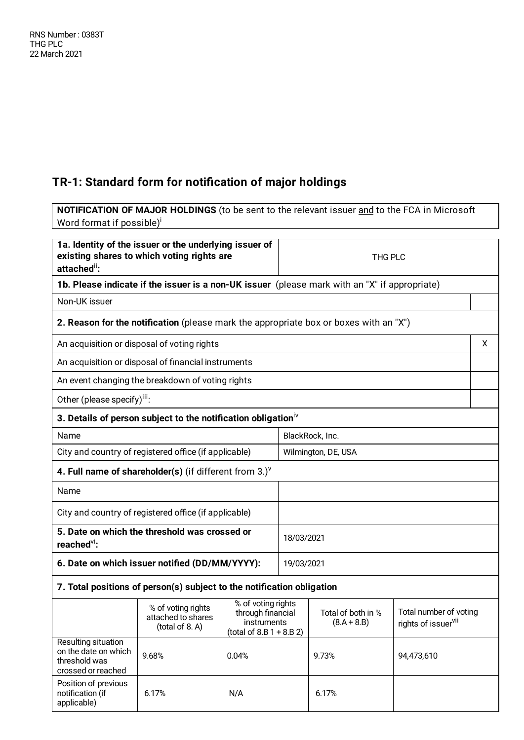H

## **TR-1: Standard form for notification of major holdings**

**NOTIFICATION OF MAJOR HOLDINGS** (to be sent to the relevant issuer and to the FCA in Microsoft Word format if possible)<sup>i</sup>

| 1a. Identity of the issuer or the underlying issuer of<br>existing shares to which voting rights are<br>THG PLC<br>attached <sup>ii</sup> :                                                                                   |                                                                                       |              |                        |                     |            |   |
|-------------------------------------------------------------------------------------------------------------------------------------------------------------------------------------------------------------------------------|---------------------------------------------------------------------------------------|--------------|------------------------|---------------------|------------|---|
| 1b. Please indicate if the issuer is a non-UK issuer (please mark with an "X" if appropriate)                                                                                                                                 |                                                                                       |              |                        |                     |            |   |
| Non-UK issuer                                                                                                                                                                                                                 |                                                                                       |              |                        |                     |            |   |
|                                                                                                                                                                                                                               | 2. Reason for the notification (please mark the appropriate box or boxes with an "X") |              |                        |                     |            |   |
|                                                                                                                                                                                                                               | An acquisition or disposal of voting rights                                           |              |                        |                     |            | x |
|                                                                                                                                                                                                                               | An acquisition or disposal of financial instruments                                   |              |                        |                     |            |   |
|                                                                                                                                                                                                                               | An event changing the breakdown of voting rights                                      |              |                        |                     |            |   |
| Other (please specify) <sup>iii</sup> :                                                                                                                                                                                       |                                                                                       |              |                        |                     |            |   |
|                                                                                                                                                                                                                               | 3. Details of person subject to the notification obligation <sup>iv</sup>             |              |                        |                     |            |   |
| Name                                                                                                                                                                                                                          |                                                                                       |              |                        | BlackRock, Inc.     |            |   |
|                                                                                                                                                                                                                               | City and country of registered office (if applicable)                                 |              |                        | Wilmington, DE, USA |            |   |
|                                                                                                                                                                                                                               | 4. Full name of shareholder(s) (if different from 3.) $V$                             |              |                        |                     |            |   |
| Name                                                                                                                                                                                                                          |                                                                                       |              |                        |                     |            |   |
|                                                                                                                                                                                                                               | City and country of registered office (if applicable)                                 |              |                        |                     |            |   |
| reached <sup>vi</sup> :                                                                                                                                                                                                       | 5. Date on which the threshold was crossed or                                         |              | 18/03/2021             |                     |            |   |
|                                                                                                                                                                                                                               | 6. Date on which issuer notified (DD/MM/YYYY):                                        |              | 19/03/2021             |                     |            |   |
|                                                                                                                                                                                                                               | 7. Total positions of person(s) subject to the notification obligation                |              |                        |                     |            |   |
| % of voting rights<br>% of voting rights<br>through financial<br>Total of both in %<br>attached to shares<br>instruments<br>$(8.A + 8.B)$<br>rights of issuer <sup>vii</sup><br>(total of 8. A)<br>$(total of 8.B 1 + 8.B 2)$ |                                                                                       |              | Total number of voting |                     |            |   |
| Resulting situation<br>on the date on which<br>threshold was<br>crossed or reached                                                                                                                                            | 9.68%                                                                                 | 0.04%        |                        | 9.73%               | 94,473,610 |   |
| Position of previous<br>notification (if<br>applicable)                                                                                                                                                                       | 6.17%                                                                                 | N/A<br>6.17% |                        |                     |            |   |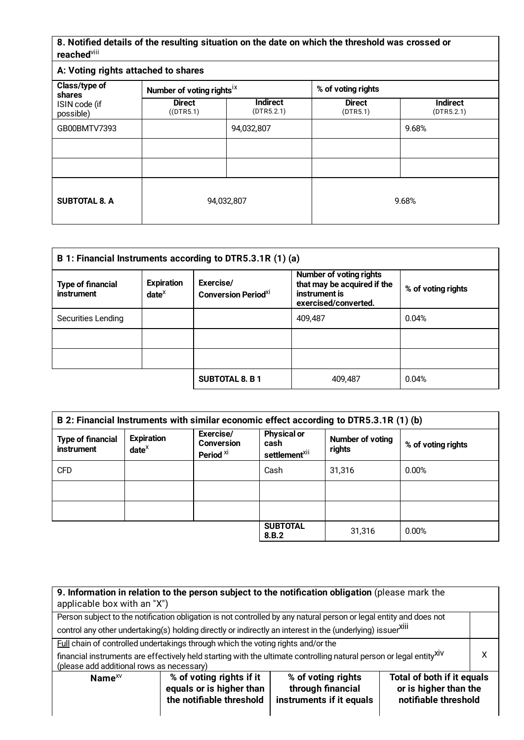## **8. Notified details of the resulting situation on the date on which the threshold was crossed or** reached<sup>viii</sup>

| A: Voting rights attached to shares                   |                                       |                               |                           |                               |  |  |
|-------------------------------------------------------|---------------------------------------|-------------------------------|---------------------------|-------------------------------|--|--|
| Class/type of<br>shares<br>ISIN code (if<br>possible) | Number of voting rights <sup>ix</sup> |                               | % of voting rights        |                               |  |  |
|                                                       | <b>Direct</b><br>$($ (DTR5.1)         | <b>Indirect</b><br>(DTR5.2.1) | <b>Direct</b><br>(DTR5.1) | <b>Indirect</b><br>(DTR5.2.1) |  |  |
| GB00BMTV7393                                          |                                       | 94,032,807                    |                           | 9.68%                         |  |  |
|                                                       |                                       |                               |                           |                               |  |  |
|                                                       |                                       |                               |                           |                               |  |  |
| <b>SUBTOTAL 8. A</b>                                  | 94,032,807                            |                               |                           | 9.68%                         |  |  |

| B 1: Financial Instruments according to DTR5.3.1R (1) (a)                    |  |                                                     |                                                                                                        |                    |  |  |
|------------------------------------------------------------------------------|--|-----------------------------------------------------|--------------------------------------------------------------------------------------------------------|--------------------|--|--|
| <b>Expiration</b><br><b>Type of financial</b><br>instrument<br>$date^{\chi}$ |  | Exercise/<br><b>Conversion Period</b> <sup>XI</sup> | <b>Number of voting rights</b><br>that may be acquired if the<br>instrument is<br>exercised/converted. | % of voting rights |  |  |
| Securities Lending                                                           |  |                                                     | 409,487                                                                                                | 0.04%              |  |  |
|                                                                              |  |                                                     |                                                                                                        |                    |  |  |
|                                                                              |  |                                                     |                                                                                                        |                    |  |  |
|                                                                              |  | <b>SUBTOTAL 8. B1</b>                               | 409.487                                                                                                | 0.04%              |  |  |

| B 2: Financial Instruments with similar economic effect according to DTR5.3.1R (1) (b) |                                    |                                                        |                                                         |                            |                    |  |
|----------------------------------------------------------------------------------------|------------------------------------|--------------------------------------------------------|---------------------------------------------------------|----------------------------|--------------------|--|
| <b>Type of financial</b><br>instrument                                                 | <b>Expiration</b><br>$date^{\chi}$ | Exercise/<br><b>Conversion</b><br>Period <sup>xi</sup> | <b>Physical or</b><br>cash<br>settlement <sup>xii</sup> | Number of voting<br>rights | % of voting rights |  |
| <b>CFD</b>                                                                             |                                    |                                                        | Cash                                                    | 31,316                     | 0.00%              |  |
|                                                                                        |                                    |                                                        |                                                         |                            |                    |  |
|                                                                                        |                                    |                                                        |                                                         |                            |                    |  |
|                                                                                        |                                    |                                                        | <b>SUBTOTAL</b><br>8.B.2                                | 31,316                     | 0.00%              |  |

| 9. Information in relation to the person subject to the notification obligation (please mark the<br>applicable box with an "X")                                                                                                                        |                                                                                                                    |  |  |  |  |  |  |
|--------------------------------------------------------------------------------------------------------------------------------------------------------------------------------------------------------------------------------------------------------|--------------------------------------------------------------------------------------------------------------------|--|--|--|--|--|--|
|                                                                                                                                                                                                                                                        | Person subject to the notification obligation is not controlled by any natural person or legal entity and does not |  |  |  |  |  |  |
|                                                                                                                                                                                                                                                        | control any other undertaking(s) holding directly or indirectly an interest in the (underlying) issuerXili         |  |  |  |  |  |  |
|                                                                                                                                                                                                                                                        | <b>Full chain of controlled undertakings through which the voting rights and/or the</b>                            |  |  |  |  |  |  |
| x<br>financial instruments are effectively held starting with the ultimate controlling natural person or legal entityXIV<br>(please add additional rows as necessary)                                                                                  |                                                                                                                    |  |  |  |  |  |  |
| Total of both if it equals<br>% of voting rights if it<br>% of voting rights<br>Name $^{XV}$<br>equals or is higher than<br>or is higher than the<br>through financial<br>the notifiable threshold<br>notifiable threshold<br>instruments if it equals |                                                                                                                    |  |  |  |  |  |  |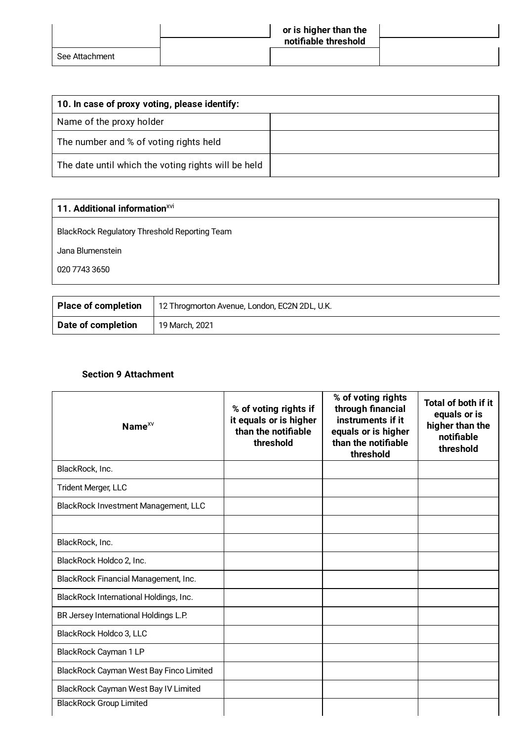|                | or is higher than the<br>notifiable threshold |  |
|----------------|-----------------------------------------------|--|
| See Attachment |                                               |  |

| 10. In case of proxy voting, please identify:       |  |  |  |  |
|-----------------------------------------------------|--|--|--|--|
| Name of the proxy holder                            |  |  |  |  |
| The number and % of voting rights held              |  |  |  |  |
| The date until which the voting rights will be held |  |  |  |  |

| 11. Additional information <sup>XVI</sup>     |  |
|-----------------------------------------------|--|
| BlackRock Regulatory Threshold Reporting Team |  |
| Jana Blumenstein                              |  |
| 020 7743 3650                                 |  |
|                                               |  |
|                                               |  |

| <b>Place of completion</b> | 12 Throgmorton Avenue, London, EC2N 2DL, U.K. |
|----------------------------|-----------------------------------------------|
| Date of completion         | 19 March, 2021                                |

## **Section 9 Attachment**

| Name <sup>XV</sup>                      | % of voting rights if<br>it equals or is higher<br>than the notifiable<br>threshold | % of voting rights<br>through financial<br>instruments if it<br>equals or is higher<br>than the notifiable<br>threshold | <b>Total of both if it</b><br>equals or is<br>higher than the<br>notifiable<br>threshold |
|-----------------------------------------|-------------------------------------------------------------------------------------|-------------------------------------------------------------------------------------------------------------------------|------------------------------------------------------------------------------------------|
| BlackRock, Inc.                         |                                                                                     |                                                                                                                         |                                                                                          |
| Trident Merger, LLC                     |                                                                                     |                                                                                                                         |                                                                                          |
| BlackRock Investment Management, LLC    |                                                                                     |                                                                                                                         |                                                                                          |
|                                         |                                                                                     |                                                                                                                         |                                                                                          |
| BlackRock, Inc.                         |                                                                                     |                                                                                                                         |                                                                                          |
| BlackRock Holdco 2, Inc.                |                                                                                     |                                                                                                                         |                                                                                          |
| BlackRock Financial Management, Inc.    |                                                                                     |                                                                                                                         |                                                                                          |
| BlackRock International Holdings, Inc.  |                                                                                     |                                                                                                                         |                                                                                          |
| BR Jersey International Holdings L.P.   |                                                                                     |                                                                                                                         |                                                                                          |
| BlackRock Holdco 3, LLC                 |                                                                                     |                                                                                                                         |                                                                                          |
| BlackRock Cayman 1 LP                   |                                                                                     |                                                                                                                         |                                                                                          |
| BlackRock Cayman West Bay Finco Limited |                                                                                     |                                                                                                                         |                                                                                          |
| BlackRock Cayman West Bay IV Limited    |                                                                                     |                                                                                                                         |                                                                                          |
| <b>BlackRock Group Limited</b>          |                                                                                     |                                                                                                                         |                                                                                          |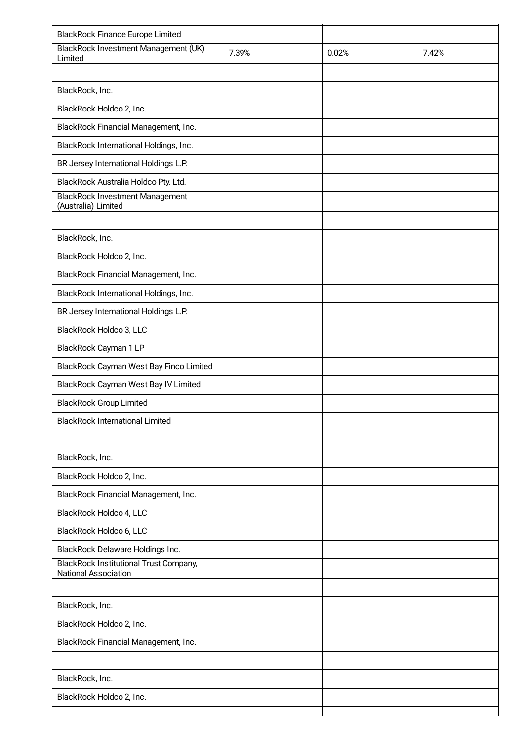| <b>BlackRock Finance Europe Limited</b>                               |       |       |       |
|-----------------------------------------------------------------------|-------|-------|-------|
| BlackRock Investment Management (UK)<br>Limited                       | 7.39% | 0.02% | 7.42% |
|                                                                       |       |       |       |
| BlackRock, Inc.                                                       |       |       |       |
| BlackRock Holdco 2, Inc.                                              |       |       |       |
| BlackRock Financial Management, Inc.                                  |       |       |       |
| BlackRock International Holdings, Inc.                                |       |       |       |
| BR Jersey International Holdings L.P.                                 |       |       |       |
| BlackRock Australia Holdco Pty. Ltd.                                  |       |       |       |
| <b>BlackRock Investment Management</b><br>(Australia) Limited         |       |       |       |
|                                                                       |       |       |       |
| BlackRock, Inc.                                                       |       |       |       |
| BlackRock Holdco 2, Inc.                                              |       |       |       |
| BlackRock Financial Management, Inc.                                  |       |       |       |
| BlackRock International Holdings, Inc.                                |       |       |       |
| BR Jersey International Holdings L.P.                                 |       |       |       |
| BlackRock Holdco 3, LLC                                               |       |       |       |
| BlackRock Cayman 1 LP                                                 |       |       |       |
| BlackRock Cayman West Bay Finco Limited                               |       |       |       |
| BlackRock Cayman West Bay IV Limited                                  |       |       |       |
| <b>BlackRock Group Limited</b>                                        |       |       |       |
| <b>BlackRock International Limited</b>                                |       |       |       |
|                                                                       |       |       |       |
| BlackRock, Inc.                                                       |       |       |       |
| BlackRock Holdco 2, Inc.                                              |       |       |       |
| BlackRock Financial Management, Inc.                                  |       |       |       |
| BlackRock Holdco 4, LLC                                               |       |       |       |
| BlackRock Holdco 6, LLC                                               |       |       |       |
| BlackRock Delaware Holdings Inc.                                      |       |       |       |
| <b>BlackRock Institutional Trust Company,</b><br>National Association |       |       |       |
|                                                                       |       |       |       |
| BlackRock, Inc.                                                       |       |       |       |
| BlackRock Holdco 2, Inc.                                              |       |       |       |
| BlackRock Financial Management, Inc.                                  |       |       |       |
|                                                                       |       |       |       |
| BlackRock, Inc.                                                       |       |       |       |
| BlackRock Holdco 2, Inc.                                              |       |       |       |
|                                                                       |       |       |       |